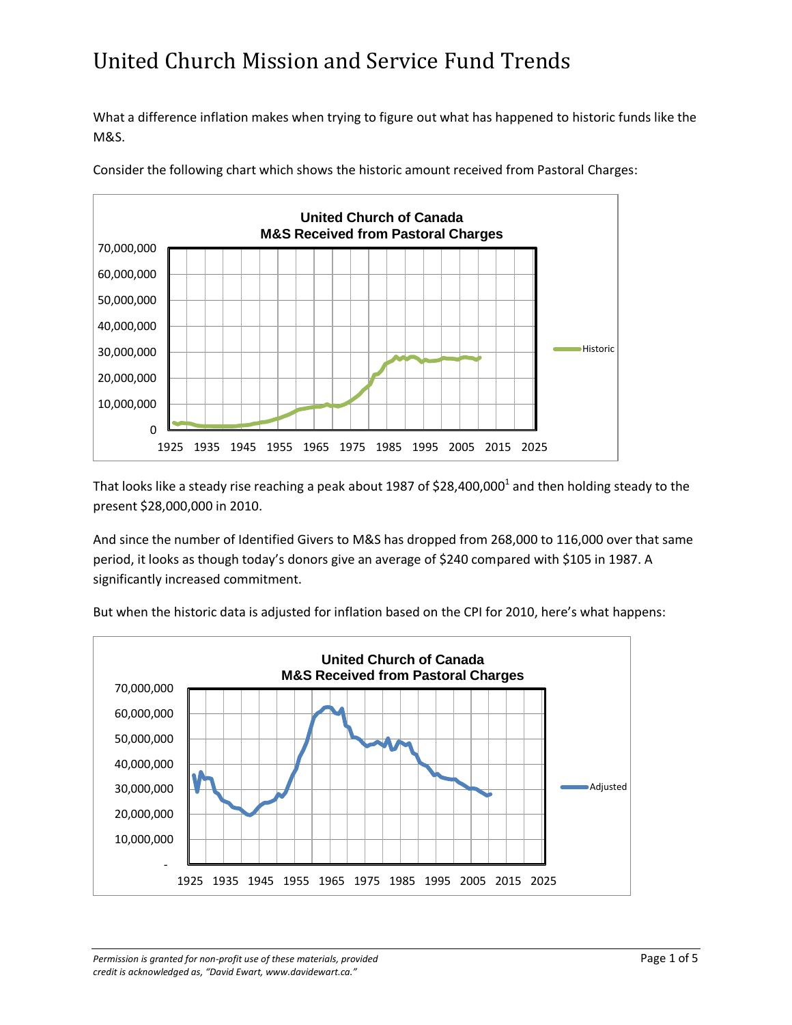What a difference inflation makes when trying to figure out what has happened to historic funds like the M&S.



Consider the following chart which shows the historic amount received from Pastoral Charges:

That looks like a steady rise reaching a peak about 1987 of \$28,400,000<sup>1</sup> and then holding steady to the present \$28,000,000 in 2010.

And since the number of Identified Givers to M&S has dropped from 268,000 to 116,000 over that same period, it looks as though today's donors give an average of \$240 compared with \$105 in 1987. A significantly increased commitment.



But when the historic data is adjusted for inflation based on the CPI for 2010, here's what happens: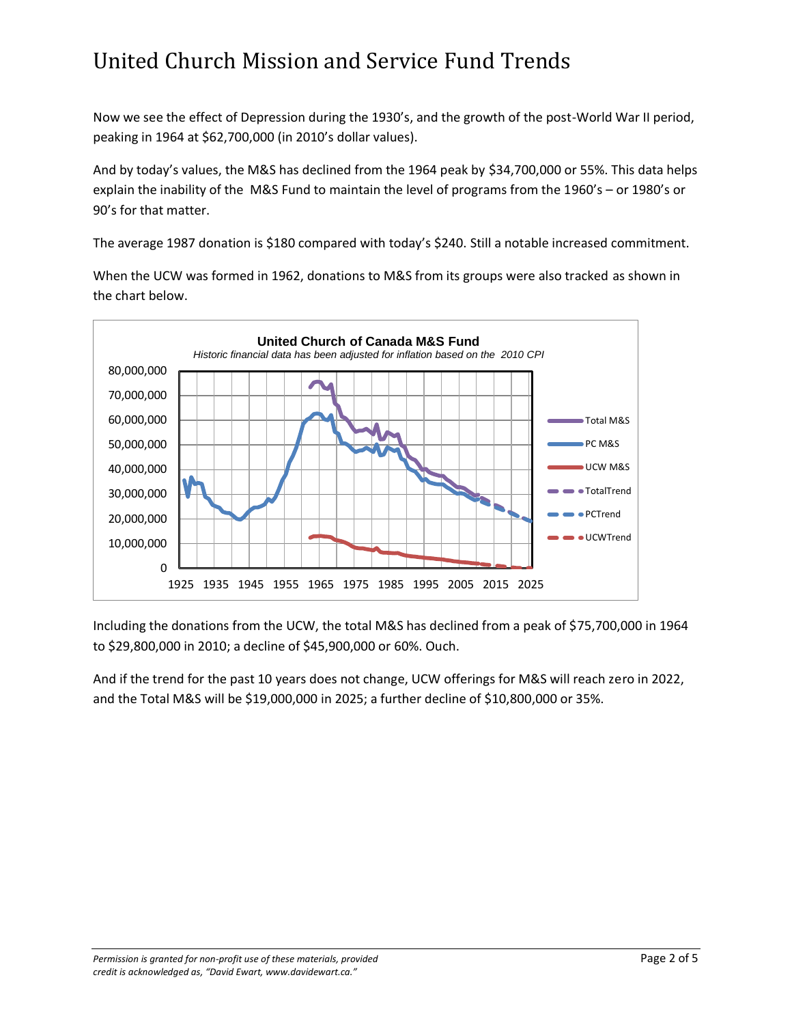Now we see the effect of Depression during the 1930's, and the growth of the post-World War II period, peaking in 1964 at \$62,700,000 (in 2010's dollar values).

And by today's values, the M&S has declined from the 1964 peak by \$34,700,000 or 55%. This data helps explain the inability of the M&S Fund to maintain the level of programs from the 1960's – or 1980's or 90's for that matter.

The average 1987 donation is \$180 compared with today's \$240. Still a notable increased commitment.

When the UCW was formed in 1962, donations to M&S from its groups were also tracked as shown in the chart below.



Including the donations from the UCW, the total M&S has declined from a peak of \$75,700,000 in 1964 to \$29,800,000 in 2010; a decline of \$45,900,000 or 60%. Ouch.

And if the trend for the past 10 years does not change, UCW offerings for M&S will reach zero in 2022, and the Total M&S will be \$19,000,000 in 2025; a further decline of \$10,800,000 or 35%.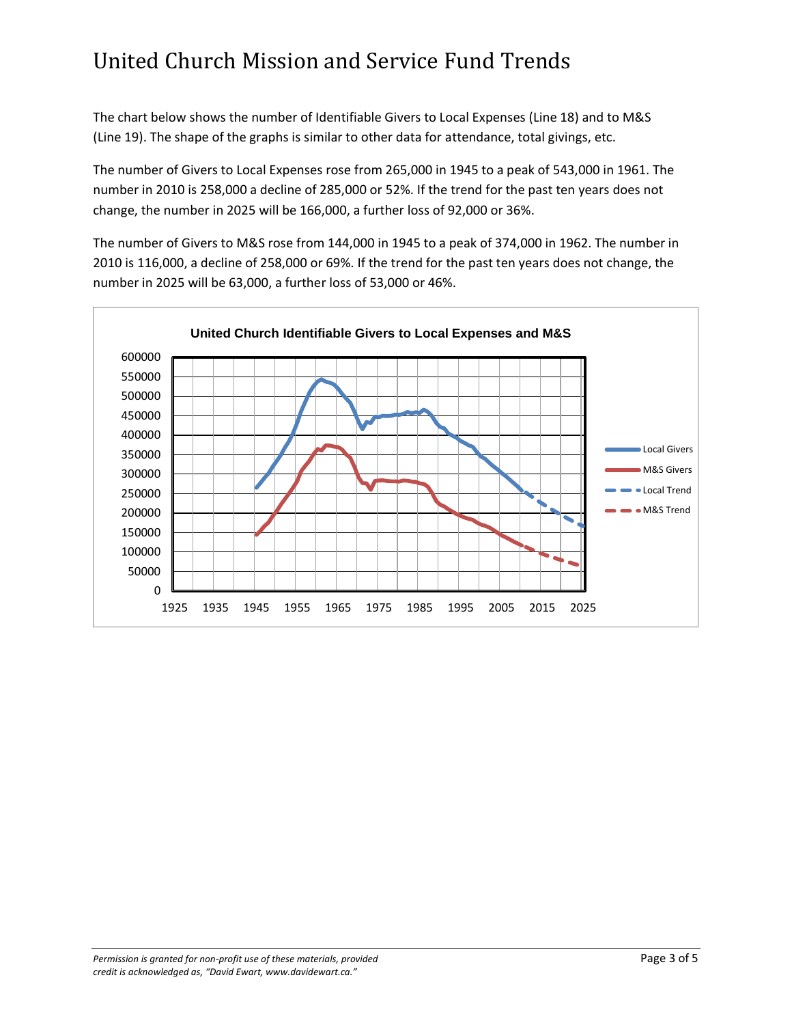The chart below shows the number of Identifiable Givers to Local Expenses (Line 18) and to M&S (Line 19). The shape of the graphs is similar to other data for attendance, total givings, etc.

The number of Givers to Local Expenses rose from 265,000 in 1945 to a peak of 543,000 in 1961. The number in 2010 is 258,000 a decline of 285,000 or 52%. If the trend for the past ten years does not change, the number in 2025 will be 166,000, a further loss of 92,000 or 36%.

The number of Givers to M&S rose from 144,000 in 1945 to a peak of 374,000 in 1962. The number in 2010 is 116,000, a decline of 258,000 or 69%. If the trend for the past ten years does not change, the number in 2025 will be 63,000, a further loss of 53,000 or 46%.

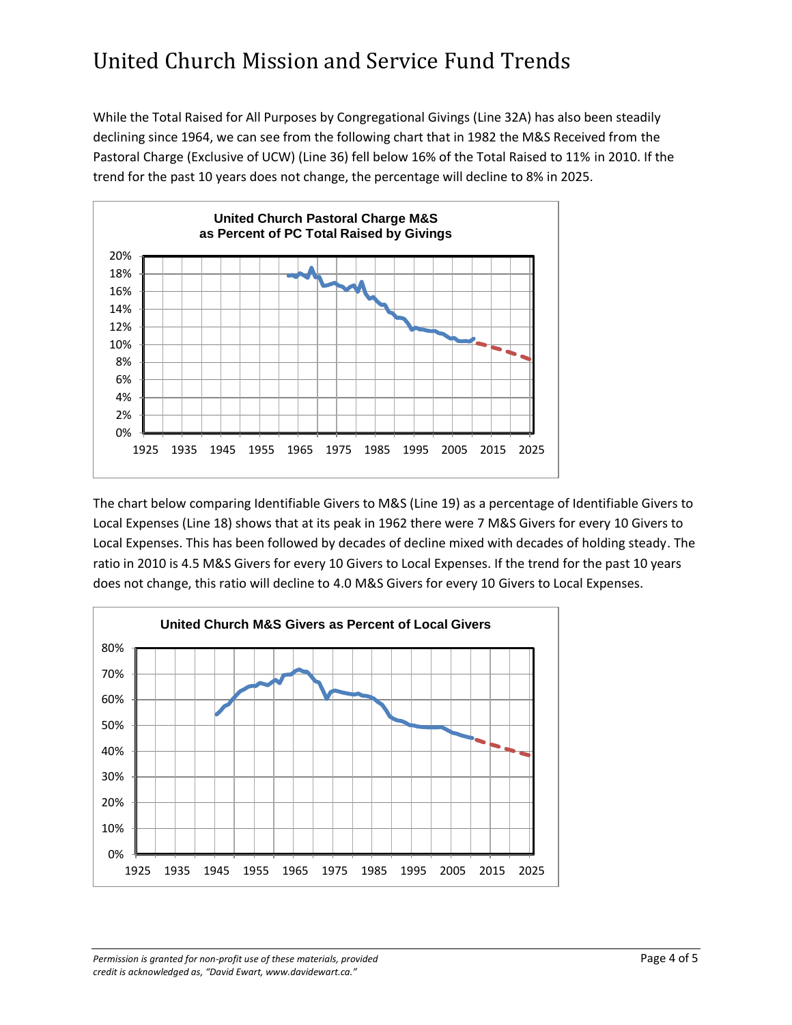While the Total Raised for All Purposes by Congregational Givings (Line 32A) has also been steadily declining since 1964, we can see from the following chart that in 1982 the M&S Received from the Pastoral Charge (Exclusive of UCW) (Line 36) fell below 16% of the Total Raised to 11% in 2010. If the trend for the past 10 years does not change, the percentage will decline to 8% in 2025.



The chart below comparing Identifiable Givers to M&S (Line 19) as a percentage of Identifiable Givers to Local Expenses (Line 18) shows that at its peak in 1962 there were 7 M&S Givers for every 10 Givers to Local Expenses. This has been followed by decades of decline mixed with decades of holding steady. The ratio in 2010 is 4.5 M&S Givers for every 10 Givers to Local Expenses. If the trend for the past 10 years does not change, this ratio will decline to 4.0 M&S Givers for every 10 Givers to Local Expenses.